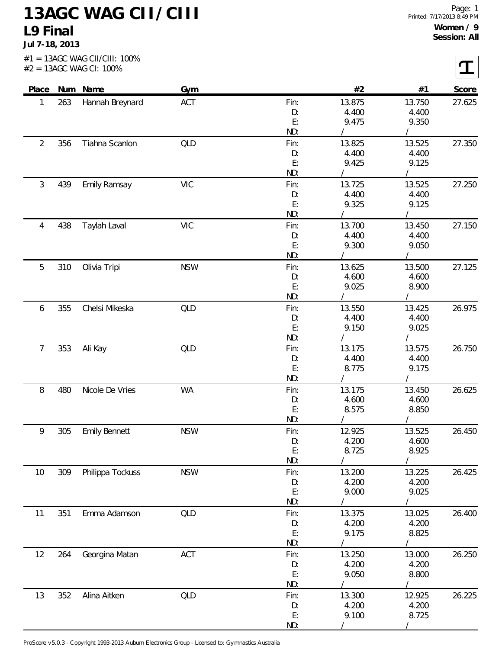## **13AGC WAG CII/CIII L9 Final**

**Jul 7-18, 2013**

| Place          |     | Num Name             | Gym        |          | #2              | #1             | Score  |
|----------------|-----|----------------------|------------|----------|-----------------|----------------|--------|
| 1              | 263 | Hannah Breynard      | ACT        | Fin:     | 13.875          | 13.750         | 27.625 |
|                |     |                      |            | D:       | 4.400           | 4.400          |        |
|                |     |                      |            | E:       | 9.475           | 9.350          |        |
|                |     |                      |            | ND:      |                 |                |        |
| $\overline{2}$ | 356 | Tiahna Scanlon       | QLD        | Fin:     | 13.825          | 13.525         | 27.350 |
|                |     |                      |            | D:       | 4.400           | 4.400          |        |
|                |     |                      |            | E:       | 9.425           | 9.125          |        |
|                |     |                      |            | ND:      |                 |                |        |
| 3              | 439 | <b>Emily Ramsay</b>  | <b>VIC</b> | Fin:     | 13.725<br>4.400 | 13.525         | 27.250 |
|                |     |                      |            | D:<br>E: | 9.325           | 4.400<br>9.125 |        |
|                |     |                      |            | ND:      |                 |                |        |
| 4              | 438 | Taylah Laval         | <b>VIC</b> | Fin:     | 13.700          | 13.450         | 27.150 |
|                |     |                      |            | D:       | 4.400           | 4.400          |        |
|                |     |                      |            | E:       | 9.300           | 9.050          |        |
|                |     |                      |            | ND:      |                 |                |        |
| 5              | 310 | Olivia Tripi         | <b>NSW</b> | Fin:     | 13.625          | 13.500         | 27.125 |
|                |     |                      |            | D:       | 4.600           | 4.600          |        |
|                |     |                      |            | E:       | 9.025           | 8.900          |        |
|                |     |                      |            | ND:      |                 |                |        |
| 6              | 355 | Chelsi Mikeska       | <b>QLD</b> | Fin:     | 13.550          | 13.425         | 26.975 |
|                |     |                      |            | D:       | 4.400           | 4.400          |        |
|                |     |                      |            | E:       | 9.150           | 9.025          |        |
|                |     |                      |            | ND:      |                 |                |        |
| $\overline{7}$ | 353 | Ali Kay              | <b>QLD</b> | Fin:     | 13.175          | 13.575         | 26.750 |
|                |     |                      |            | D:       | 4.400           | 4.400          |        |
|                |     |                      |            | E:       | 8.775           | 9.175          |        |
|                |     |                      |            | ND:      |                 |                |        |
| 8              | 480 | Nicole De Vries      | <b>WA</b>  | Fin:     | 13.175          | 13.450         | 26.625 |
|                |     |                      |            | D:<br>E: | 4.600<br>8.575  | 4.600<br>8.850 |        |
|                |     |                      |            | ND:      |                 |                |        |
| 9              | 305 | <b>Emily Bennett</b> | <b>NSW</b> | Fin:     | 12.925          | 13.525         | 26.450 |
|                |     |                      |            | D:       | 4.200           | 4.600          |        |
|                |     |                      |            | E:       | 8.725           | 8.925          |        |
|                |     |                      |            | ND:      |                 |                |        |
| 10             | 309 | Philippa Tockuss     | <b>NSW</b> | Fin:     | 13.200          | 13.225         | 26.425 |
|                |     |                      |            | D:       | 4.200           | 4.200          |        |
|                |     |                      |            | E:       | 9.000           | 9.025          |        |
|                |     |                      |            | ND:      |                 |                |        |
| 11             | 351 | Emma Adamson         | <b>QLD</b> | Fin:     | 13.375          | 13.025         | 26.400 |
|                |     |                      |            | D:       | 4.200           | 4.200          |        |
|                |     |                      |            | E:       | 9.175           | 8.825          |        |
|                |     |                      |            | ND:      |                 |                |        |
| 12             | 264 | Georgina Matan       | ACT        | Fin:     | 13.250          | 13.000         | 26.250 |
|                |     |                      |            | D:       | 4.200           | 4.200          |        |
|                |     |                      |            | E:       | 9.050           | 8.800          |        |
|                |     |                      |            | ND:      |                 |                |        |
| 13             | 352 | Alina Aitken         | <b>QLD</b> | Fin:     | 13.300          | 12.925         | 26.225 |
|                |     |                      |            | D:       | 4.200           | 4.200          |        |
|                |     |                      |            | E:       | 9.100           | 8.725          |        |

ProScore v5.0.3 - Copyright 1993-2013 Auburn Electronics Group - Licensed to: Gymnastics Australia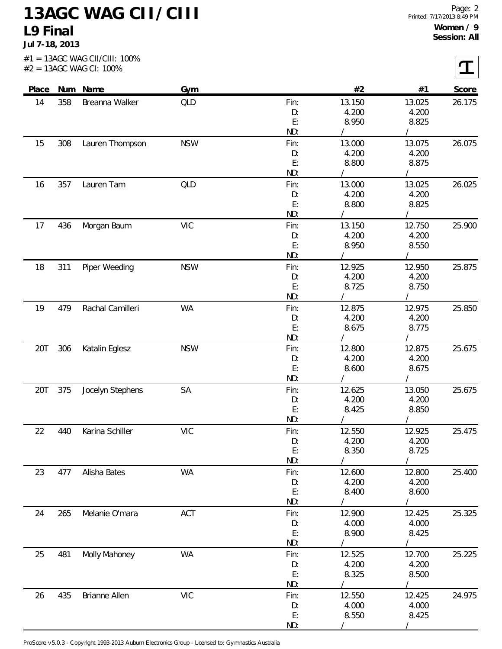## **13AGC WAG CII/CIII L9 Final**

**Jul 7-18, 2013**

 $\overline{r}$ 

|       |     | #2 = 13AGC WAG CI: 100% |            |           |                 |                |        |
|-------|-----|-------------------------|------------|-----------|-----------------|----------------|--------|
| Place |     | Num Name                | Gym        |           | #2              | #1             | Score  |
| 14    | 358 | Breanna Walker          | QLD        | Fin:      | 13.150          | 13.025         | 26.175 |
|       |     |                         |            | D:        | 4.200           | 4.200          |        |
|       |     |                         |            | E:<br>ND: | 8.950           | 8.825          |        |
| 15    | 308 | Lauren Thompson         | <b>NSW</b> | Fin:      | 13.000          | 13.075         | 26.075 |
|       |     |                         |            | D:        | 4.200           | 4.200          |        |
|       |     |                         |            | E:        | 8.800           | 8.875          |        |
|       |     |                         |            | ND:       |                 |                |        |
| 16    | 357 | Lauren Tam              | QLD        | Fin:      | 13.000          | 13.025         | 26.025 |
|       |     |                         |            | D:        | 4.200           | 4.200          |        |
|       |     |                         |            | E:        | 8.800           | 8.825          |        |
|       |     |                         |            | ND:       |                 |                |        |
| 17    | 436 | Morgan Baum             | <b>VIC</b> | Fin:      | 13.150          | 12.750         | 25.900 |
|       |     |                         |            | D:        | 4.200           | 4.200          |        |
|       |     |                         |            | E:        | 8.950           | 8.550          |        |
|       |     |                         |            | ND:       |                 |                |        |
| 18    | 311 | Piper Weeding           | <b>NSW</b> | Fin:      | 12.925          | 12.950         | 25.875 |
|       |     |                         |            | D:<br>E:  | 4.200<br>8.725  | 4.200<br>8.750 |        |
|       |     |                         |            | ND:       |                 |                |        |
| 19    | 479 | Rachal Camilleri        | WA         | Fin:      | 12.875          | 12.975         | 25.850 |
|       |     |                         |            | D:        | 4.200           | 4.200          |        |
|       |     |                         |            | E:        | 8.675           | 8.775          |        |
|       |     |                         |            | ND:       |                 |                |        |
| 20T   | 306 | Katalin Eglesz          | <b>NSW</b> | Fin:      | 12.800          | 12.875         | 25.675 |
|       |     |                         |            | D:        | 4.200           | 4.200          |        |
|       |     |                         |            | E:        | 8.600           | 8.675          |        |
|       |     |                         |            | ND:       |                 |                |        |
| 20T   | 375 | Jocelyn Stephens        | SA         | Fin:      | 12.625          | 13.050         | 25.675 |
|       |     |                         |            | D:        | 4.200           | 4.200          |        |
|       |     |                         |            | E:        | 8.425           | 8.850          |        |
|       |     |                         |            | ND:       |                 |                |        |
| 22    | 440 | Karina Schiller         | <b>VIC</b> | Fin:      | 12.550<br>4.200 | 12.925         | 25.475 |
|       |     |                         |            | D:<br>E:  | 8.350           | 4.200<br>8.725 |        |
|       |     |                         |            | ND:       |                 |                |        |
| 23    | 477 | Alisha Bates            | <b>WA</b>  | Fin:      | 12.600          | 12.800         | 25.400 |
|       |     |                         |            | D:        | 4.200           | 4.200          |        |
|       |     |                         |            | E:        | 8.400           | 8.600          |        |
|       |     |                         |            | ND:       |                 |                |        |
| 24    | 265 | Melanie O'mara          | ACT        | Fin:      | 12.900          | 12.425         | 25.325 |
|       |     |                         |            | D:        | 4.000           | 4.000          |        |
|       |     |                         |            | E:        | 8.900           | 8.425          |        |
|       |     |                         |            | ND:       |                 |                |        |
| 25    | 481 | Molly Mahoney           | <b>WA</b>  | Fin:      | 12.525          | 12.700         | 25.225 |
|       |     |                         |            | D:        | 4.200           | 4.200          |        |
|       |     |                         |            | E:        | 8.325           | 8.500          |        |
|       | 435 |                         |            | ND:       |                 |                |        |
|       |     | Brianne Allen           | <b>VIC</b> | Fin:      | 12.550          | 12.425         | 24.975 |
| 26    |     |                         |            |           |                 |                |        |
|       |     |                         |            | D:<br>E:  | 4.000<br>8.550  | 4.000<br>8.425 |        |

ProScore v5.0.3 - Copyright 1993-2013 Auburn Electronics Group - Licensed to: Gymnastics Australia